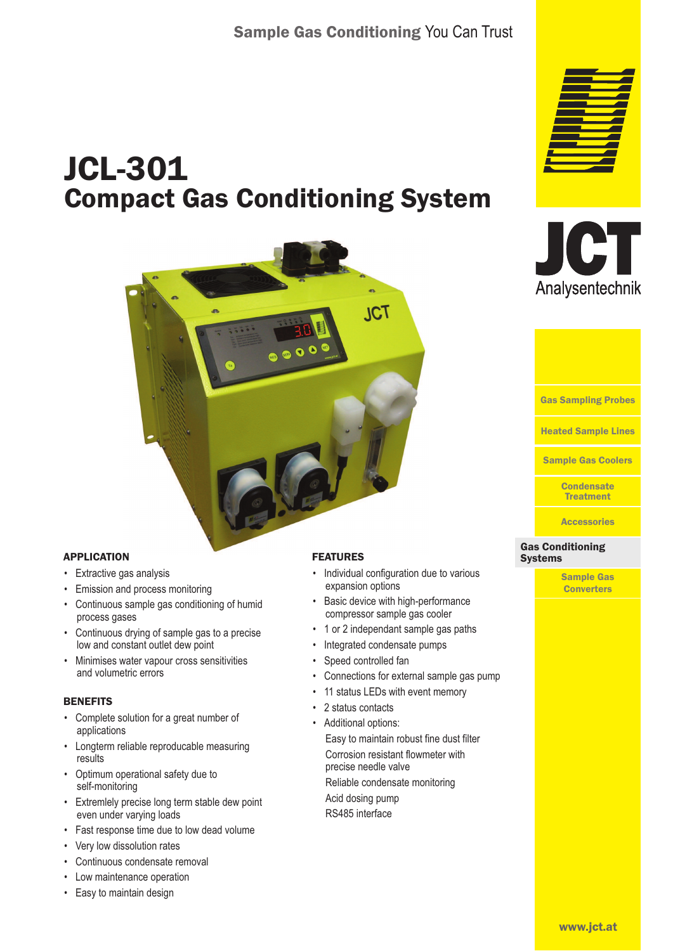# JCL-301 Compact Gas Conditioning System



# APPLICATION

- Extractive gas analysis
- Emission and process monitoring
- Continuous sample gas conditioning of humid process gases
- Continuous drying of sample gas to a precise low and constant outlet dew point
- Minimises water vapour cross sensitivities and volumetric errors

#### **BENEFITS**

- Complete solution for a great number of applications
- Longterm reliable reproducable measuring results
- Optimum operational safety due to self-monitoring
- Extremlely precise long term stable dew point even under varying loads
- Fast response time due to low dead volume
- Very low dissolution rates
- Continuous condensate removal
- Low maintenance operation
- Easy to maintain design

### FEATURES

- Individual configuration due to various expansion options
- Basic device with high-performance compressor sample gas cooler
- 1 or 2 independant sample gas paths
- Integrated condensate pumps
- Speed controlled fan
- Connections for external sample gas pump
- 11 status LEDs with event memory
- 2 status contacts
	- Additional options: Easy to maintain robust fine dust filter Corrosion resistant flowmeter with precise needle valve

Reliable condensate monitoring

Acid dosing pump RS485 interface







**Accessories** 

#### Gas Conditioning Gas Conditioning Systems **Systems**

Sample Gas **Converters**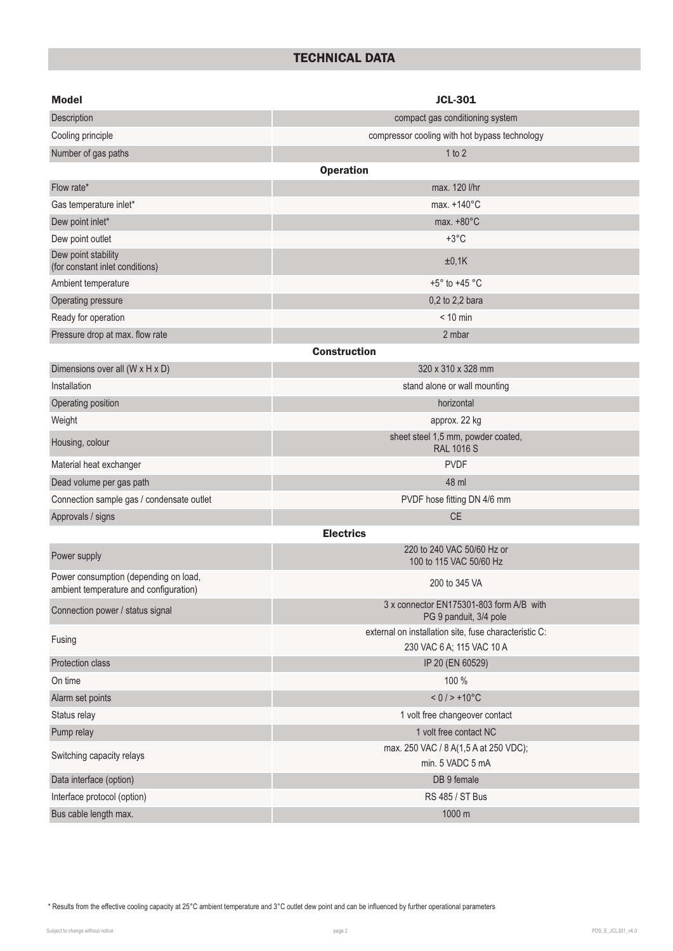# TECHNICAL DATA

| <b>Model</b>                                                                    | <b>JCL-301</b>                                                                     |
|---------------------------------------------------------------------------------|------------------------------------------------------------------------------------|
| Description                                                                     | compact gas conditioning system                                                    |
| Cooling principle                                                               | compressor cooling with hot bypass technology                                      |
| Number of gas paths                                                             | 1 to 2                                                                             |
|                                                                                 | <b>Operation</b>                                                                   |
| Flow rate*                                                                      | max. 120 l/hr                                                                      |
| Gas temperature inlet*                                                          | max. +140°C                                                                        |
| Dew point inlet*                                                                | max. $+80^{\circ}$ C                                                               |
| Dew point outlet                                                                | $+3^{\circ}$ C                                                                     |
| Dew point stability<br>(for constant inlet conditions)                          | ±0,1K                                                                              |
| Ambient temperature                                                             | $+5^{\circ}$ to $+45^{\circ}$ C                                                    |
| Operating pressure                                                              | 0,2 to 2,2 bara                                                                    |
| Ready for operation                                                             | $< 10$ min                                                                         |
| Pressure drop at max. flow rate                                                 | 2 mbar                                                                             |
|                                                                                 | <b>Construction</b>                                                                |
| Dimensions over all (W x H x D)                                                 | 320 x 310 x 328 mm                                                                 |
| Installation                                                                    | stand alone or wall mounting                                                       |
| Operating position                                                              | horizontal                                                                         |
| Weight                                                                          | approx. 22 kg                                                                      |
| Housing, colour                                                                 | sheet steel 1,5 mm, powder coated,<br><b>RAL 1016 S</b>                            |
| Material heat exchanger                                                         | <b>PVDF</b>                                                                        |
| Dead volume per gas path                                                        | 48 ml                                                                              |
| Connection sample gas / condensate outlet                                       | PVDF hose fitting DN 4/6 mm                                                        |
| Approvals / signs                                                               | <b>CE</b>                                                                          |
|                                                                                 | <b>Electrics</b>                                                                   |
| Power supply                                                                    | 220 to 240 VAC 50/60 Hz or<br>100 to 115 VAC 50/60 Hz                              |
| Power consumption (depending on load,<br>ambient temperature and configuration) | 200 to 345 VA                                                                      |
| Connection power / status signal                                                | 3 x connector EN175301-803 form A/B with<br>PG 9 panduit, 3/4 pole                 |
| Fusing                                                                          | external on installation site, fuse characteristic C:<br>230 VAC 6 A; 115 VAC 10 A |
| Protection class                                                                | IP 20 (EN 60529)                                                                   |
| On time                                                                         | 100 %                                                                              |
| Alarm set points                                                                | $< 0 / > +10$ °C                                                                   |
| Status relay                                                                    | 1 volt free changeover contact                                                     |
| Pump relay                                                                      | 1 volt free contact NC                                                             |
|                                                                                 | max. 250 VAC / 8 A(1,5 A at 250 VDC);                                              |
| Switching capacity relays                                                       | min. 5 VADC 5 mA                                                                   |
| Data interface (option)                                                         | DB 9 female                                                                        |
| Interface protocol (option)                                                     | RS 485 / ST Bus                                                                    |
| Bus cable length max.                                                           | 1000 m                                                                             |

\* Results from the effective cooling capacity at 25°C ambient temperature and 3°C outlet dew point and can be influenced by further operational parameters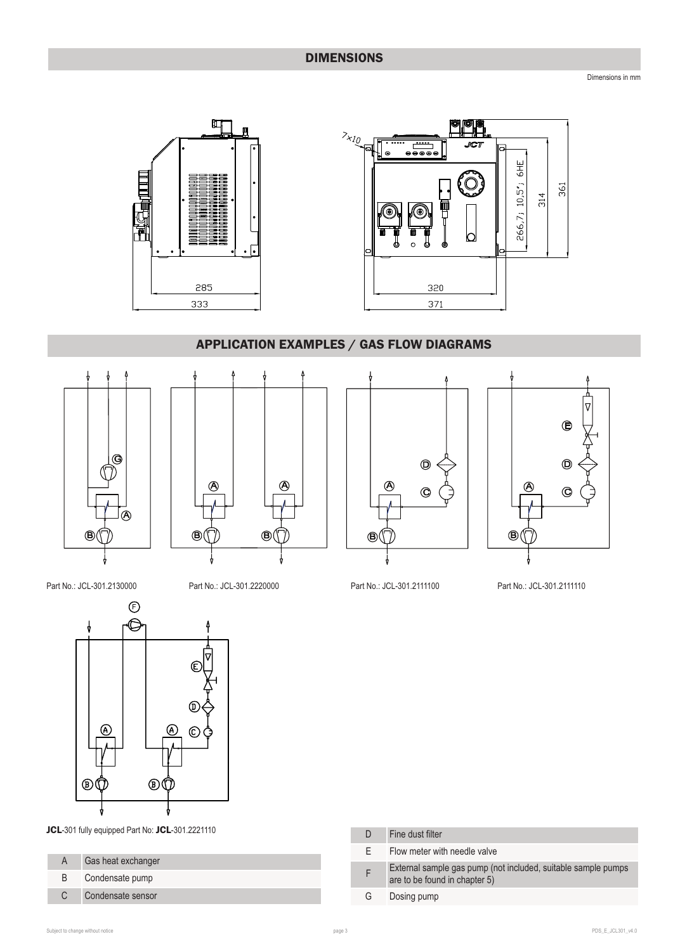Dimensions in mm



# APPLICATION EXAMPLES / GAS FLOW DIAGRAMS







 $AC1$ 

lQ

 $6H<sub>E</sub>$ 

361

314

266,7; 10,5";



Part No.: JCL-301.2130000 Part No.: JCL-301.2220000 Part No.: JCL-301.2111100 Part No.: JCL-301.2111110



JCL-301 fully equipped Part No: JCL-301.2221110

|    | Gas heat exchanger |
|----|--------------------|
| B. | Condensate pump    |
| C. | Condensate sensor  |

|    | Fine dust filter                                                                               |
|----|------------------------------------------------------------------------------------------------|
| F. | Flow meter with needle valve                                                                   |
|    | External sample gas pump (not included, suitable sample pumps<br>are to be found in chapter 5) |
| G  | Dosing pump                                                                                    |
|    |                                                                                                |